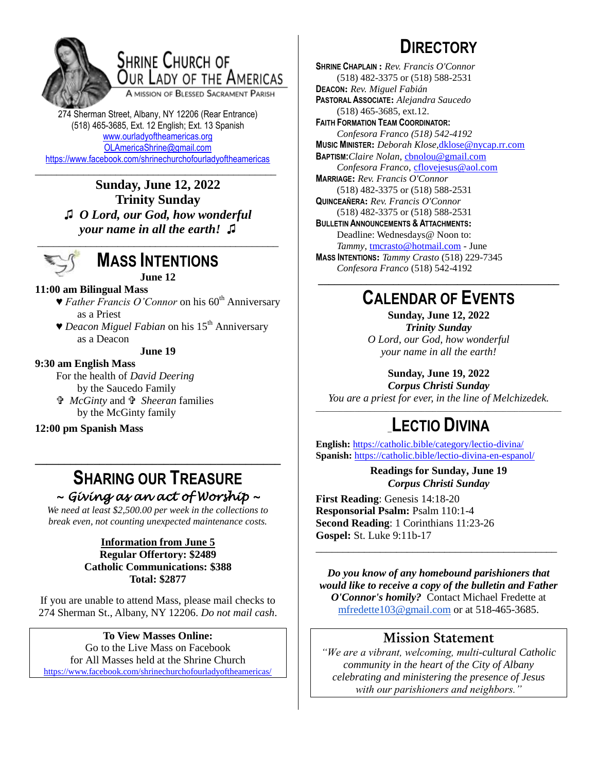

## **SHRINE CHURCH OF** OUR LADY OF THE AMERICAS

A MISSION OF BLESSED SACRAMENT PARISH

274 Sherman Street, Albany, NY 12206 (Rear Entrance) (518) 465-3685, Ext. 12 English; Ext. 13 Spanish [www.ourladyoftheamericas.org](http://www.ourladyoftheamericas.org/) [OLAmericaShrine@gmail.com](mailto:OLAmericaShrine@gmail.com) <https://www.facebook.com/shrinechurchofourladyoftheamericas>

\_\_\_\_\_\_\_\_\_\_\_\_\_\_\_\_\_\_\_\_\_\_\_\_\_\_\_\_\_\_\_\_\_\_\_\_\_\_\_\_\_\_\_\_\_ **Sunday, June 12, 2022 Trinity Sunday ♫** *O Lord, our God, how wonderful your name in all the earth!* **♫**



## **MASS INTENTIONS**

**June 12**

### **11:00 am Bilingual Mass**

- ▼ *Father Francis O'Connor* on his 60<sup>th</sup> Anniversary as a Priest
- ▼ *Deacon Miguel Fabian* on his 15<sup>th</sup> Anniversary as a Deacon

**June 19**

#### **9:30 am English Mass**

For the health of *David Deering* by the Saucedo Family

 *McGinty* and  *Sheeran* families by the McGinty family

**12:00 pm Spanish Mass**

## **SHARING OUR TREASURE** *~ Giving as an act of Worship ~*

**\_\_\_\_\_\_\_\_\_\_\_\_\_\_\_\_\_\_\_\_\_\_\_\_\_\_\_\_\_\_\_\_\_\_\_\_\_\_\_\_\_\_**

*We need at least \$2,500.00 per week in the collections to break even, not counting unexpected maintenance costs.*

#### **Information from June 5 Regular Offertory: \$2489 Catholic Communications: \$388 Total: \$2877**

If you are unable to attend Mass, please mail checks to 274 Sherman St., Albany, NY 12206. *Do not mail cash*.

**To View Masses Online:** Go to the Live Mass on Facebook for All Masses held at the Shrine Church <https://www.facebook.com/shrinechurchofourladyoftheamericas/>

# **DIRECTORY**

**SHRINE CHAPLAIN :** *Rev. Francis O'Connor* (518) 482-3375 or (518) 588-2531 **DEACON:** *Rev. Miguel Fabián* **PASTORAL ASSOCIATE:** *Alejandra Saucedo* (518) 465-3685, ext.12. **FAITH FORMATION TEAM COORDINATOR:** *Confesora Franco (518) 542-4192* **MUSIC MINISTER:** *Deborah Klose,*[dklose@nycap.rr.com](mailto:dklose@nycap.rr.com) **BAPTISM:***Claire Nolan*, [cbnolou@gmail.com](mailto:cbnolou@gmail.com) *Confesora Franco*, [cflovejesus@aol.com](mailto:cflovejesus@aol.com) **MARRIAGE:** *Rev. Francis O'Connor* (518) 482-3375 or (518) 588-2531 **QUINCEAÑERA:** *Rev. Francis O'Connor* (518) 482-3375 or (518) 588-2531 **BULLETIN ANNOUNCEMENTS & ATTACHMENTS:** Deadline: Wednesdays@ Noon to: *Tammy*, [tmcrasto@hotmail.com](mailto:tmcrasto@hotmail.com) - June **MASS INTENTIONS:** *Tammy Crasto* (518) 229-7345 *Confesora Franco* (518) 542-4192 **\_\_\_\_\_\_\_\_\_\_\_\_\_\_\_\_\_\_\_\_\_\_\_\_\_\_\_\_\_\_\_\_\_\_\_\_\_\_\_\_\_\_\_\_\_**

## **CALENDAR OF EVENTS**

**Sunday, June 12, 2022** *Trinity Sunday O Lord, our God, how wonderful your name in all the earth!*

**Sunday, June 19, 2022**

*Corpus Christi Sunday You are a priest for ever, in the line of Melchizedek.*

### \_\_\_\_\_\_\_\_\_\_\_\_\_\_\_\_\_\_\_\_\_\_\_\_\_\_\_\_\_\_\_\_\_\_\_\_\_\_\_\_\_\_\_\_\_\_\_\_\_\_\_\_\_\_\_\_\_\_\_\_\_\_\_ \_**LECTIO DIVINA**

**English:** <https://catholic.bible/category/lectio-divina/> **Spanish:** <https://catholic.bible/lectio-divina-en-espanol/>

> **Readings for Sunday, June 19** *Corpus Christi Sunday*

**First Reading**: Genesis 14:18-20 **Responsorial Psalm:** Psalm 110:1-4 **Second Reading**: 1 Corinthians 11:23-26 **Gospel:** St. Luke 9:11b-17

*Do you know of any homebound parishioners that would like to receive a copy of the bulletin and Father O'Connor's homily?* Contact Michael Fredette at [mfredette103@gmail.com](mailto:mfredette103@gmail.com) or at 518-465-3685.

\_\_\_\_\_\_\_\_\_\_\_\_\_\_\_\_\_\_\_\_\_\_\_\_\_\_\_\_\_\_\_\_\_\_\_\_\_\_\_\_\_\_\_\_\_

### **Mission Statement**

*"We are a vibrant, welcoming, multi-cultural Catholic community in the heart of the City of Albany celebrating and ministering the presence of Jesus with our parishioners and neighbors."*